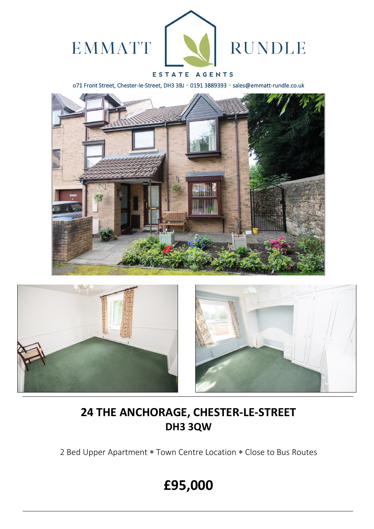

### ESTATE AGENTS

o71 Front Street, Chester-le-Street, DH3 3BJ \* 0191 3889393 \* sales@emmatt-rundle.co.uk





## **24 THE ANCHORAGE, CHESTER-LE-STREET DH3 3QW**

2 Bed Upper Apartment \* Town Centre Location \* Close to Bus Routes

# **£95,000**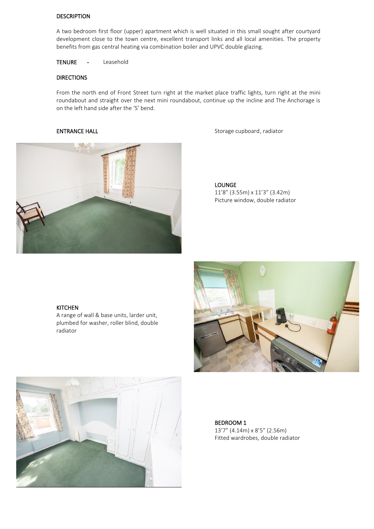#### DESCRIPTION

A two bedroom first floor (upper) apartment which is well situated in this small sought after courtyard development close to the town centre, excellent transport links and all local amenities. The property benefits from gas central heating via combination boiler and UPVC double glazing.

TENURE - Leasehold

### DIRECTIONS

From the north end of Front Street turn right at the market place traffic lights, turn right at the mini roundabout and straight over the next mini roundabout, continue up the incline and The Anchorage is on the left hand side after the 'S' bend.



ENTRANCE HALL **ENTRANCE** HALL **Storage Cupboard**, radiator

LOUNGE 11'8" (3.55m) x 11'3" (3.42m) Picture window, double radiator

#### KITCHEN

A range of wall & base units, larder unit, plumbed for washer, roller blind, double radiator





 BEDROOM 1 13'7" (4.14m) x 8'5" (2.56m) Fitted wardrobes, double radiator